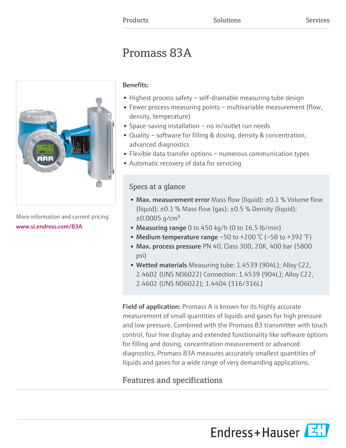# Promass 83A



More information and current pricing: [www.si.endress.com/83A](https://www.si.endress.com/83A)

# Benefits:

- Highest process safety self-drainable measuring tube design
- Fewer process measuring points multivariable measurement (flow, density, temperature)
- Space-saving installation no in/outlet run needs
- Quality software for filling & dosing, density & concentration, advanced diagnostics
- Flexible data transfer options numerous communication types
- Automatic recovery of data for servicing

# Specs at a glance

- Max. measurement error Mass flow (liquid):  $\pm 0.1$  % Volume flow (liquid):  $\pm 0.1$  % Mass flow (gas):  $\pm 0.5$  % Density (liquid):  $\pm 0.0005$  g/cm<sup>3</sup>
- Measuring range 0 to 450 kg/h (0 to  $16.5$  lb/min)
- Medium temperature range  $-50$  to  $+200$  °C ( $-58$  to  $+392$  °F)
- Max. process pressure PN 40, Class 300, 20K, 400 bar (5800 psi)
- Wetted materials Measuring tube: 1.4539 (904L); Alloy C22, 2.4602 (UNS N06022) Connection: 1.4539 (904L); Alloy C22, 2.4602 (UNS N06022); 1.4404 (316/316L)

**Field of application:** Promass A is known for its highly accurate measurement of small quantities of liquids and gases for high pressure and low pressure. Combined with the Promass 83 transmitter with touch control, four line display and extended functionality like software options for filling and dosing, concentration measurement or advanced diagnostics, Promass 83A measures accurately smallest quantities of liquids and gases for a wide range of very demanding applications.

# Features and specifications

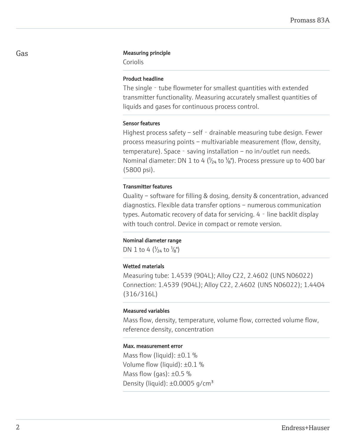#### Gas **Gas** Measuring principle

Coriolis

#### Product headline

The single – tube flowmeter for smallest quantities with extended transmitter functionality. Measuring accurately smallest quantities of liquids and gases for continuous process control.

#### Sensor features

Highest process safety – self - drainable measuring tube design. Fewer process measuring points – multivariable measurement (flow, density, temperature). Space - saving installation – no in/outlet run needs. Nominal diameter: DN 1 to 4 ( $\frac{1}{24}$  to  $\frac{1}{8}$ ). Process pressure up to 400 bar (5800 psi).

#### Transmitter features

Quality – software for filling & dosing, density & concentration, advanced diagnostics. Flexible data transfer options – numerous communication types. Automatic recovery of data for servicing. 4 - line backlit display with touch control. Device in compact or remote version.

#### Nominal diameter range

DN 1 to 4  $\left(\frac{1}{24} \text{ to } \frac{1}{8}\right)$ 

#### Wetted materials

Measuring tube: 1.4539 (904L); Alloy C22, 2.4602 (UNS N06022) Connection: 1.4539 (904L); Alloy C22, 2.4602 (UNS N06022); 1.4404 (316/316L)

#### Measured variables

Mass flow, density, temperature, volume flow, corrected volume flow, reference density, concentration

#### Max. measurement error

Mass flow (liquid):  $\pm 0.1$  % Volume flow (liquid): ±0.1 % Mass flow (gas):  $\pm 0.5$  % Density (liquid):  $\pm 0.0005$  g/cm<sup>3</sup>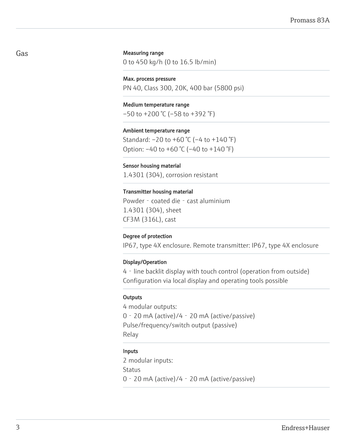#### Measuring range

0 to 450 kg/h (0 to 16.5 lb/min)

Max. process pressure PN 40, Class 300, 20K, 400 bar (5800 psi)

Medium temperature range  $-50$  to  $+200$  °C ( $-58$  to  $+392$  °F)

Ambient temperature range Standard: –20 to +60 °C (–4 to +140 °F) Option: –40 to +60 °C (–40 to +140 °F)

Sensor housing material 1.4301 (304), corrosion resistant

#### Transmitter housing material

Powder - coated die - cast aluminium 1.4301 (304), sheet CF3M (316L), cast

#### Degree of protection

IP67, type 4X enclosure. Remote transmitter: IP67, type 4X enclosure

#### Display/Operation

4‐line backlit display with touch control (operation from outside) Configuration via local display and operating tools possible

#### **Outputs**

4 modular outputs: 0‐20 mA (active)/4‐20 mA (active/passive) Pulse/frequency/switch output (passive) Relay

#### Inputs

2 modular inputs: Status 0‐20 mA (active)/4‐20 mA (active/passive)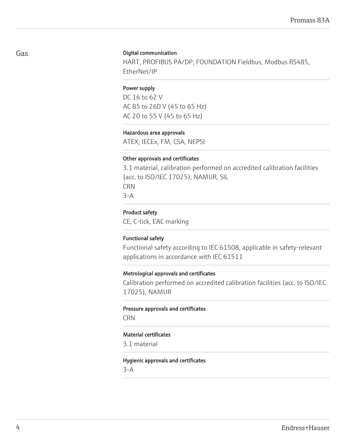#### Digital communication

HART, PROFIBUS PA/DP, FOUNDATION Fieldbus, Modbus RS485, EtherNet/IP

#### Power supply

DC 16 to 62 V AC 85 to 260 V (45 to 65 Hz) AC 20 to 55 V (45 to 65 Hz)

#### Hazardous area approvals

ATEX, IECEx, FM, CSA, NEPSI

#### Other approvals and certificates

3.1 material, calibration performed on accredited calibration facilities (acc. to ISO/IEC 17025), NAMUR, SIL CRN 3-A

#### Product safety

CE, C-tick, EAC marking

#### Functional safety

Functional safety according to IEC 61508, applicable in safety-relevant applications in accordance with IEC 61511

#### Metrological approvals and certificates

Calibration performed on accredited calibration facilities (acc. to ISO/IEC 17025), NAMUR

#### Pressure approvals and certificates

CRN

#### Material certificates

3.1 material

#### Hygienic approvals and certificates

3-A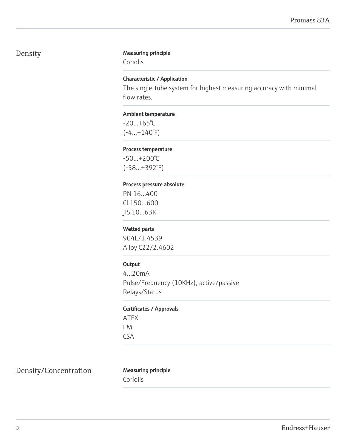# Density Measuring principle

Coriolis

### Characteristic / Application

The single-tube system for highest measuring accuracy with minimal flow rates.

#### Ambient temperature

 $-20...+65°C$  $(-4...+140°F)$ 

#### Process temperature

-50...+200°C (-58...+392°F)

#### Process pressure absolute

PN 16...400 Cl 150...600 JIS 10...63K

#### Wetted parts

904L/1.4539 Alloy C22/2.4602

#### **Output**

4...20mA Pulse/Frequency (10KHz), active/passive Relays/Status

#### Certificates / Approvals

ATEX FM CSA

Density/Concentration Measuring principle

Coriolis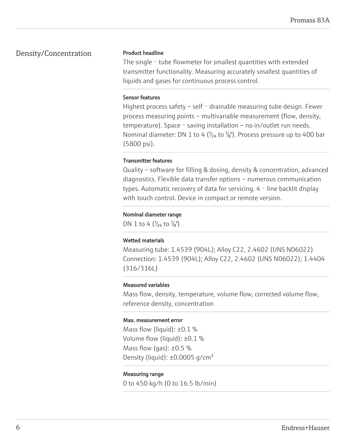## Density/Concentration

#### Product headline

The single – tube flowmeter for smallest quantities with extended transmitter functionality. Measuring accurately smallest quantities of liquids and gases for continuous process control.

#### Sensor features

Highest process safety – self - drainable measuring tube design. Fewer process measuring points – multivariable measurement (flow, density, temperature). Space - saving installation – no in/outlet run needs. Nominal diameter: DN 1 to 4 ( $\frac{1}{24}$  to  $\frac{1}{8}$ ). Process pressure up to 400 bar (5800 psi).

#### Transmitter features

Quality – software for filling & dosing, density & concentration, advanced diagnostics. Flexible data transfer options – numerous communication types. Automatic recovery of data for servicing. 4 - line backlit display with touch control. Device in compact or remote version.

#### Nominal diameter range

DN 1 to 4  $(V_{24}$  to  $V_{8}$ ")

#### Wetted materials

Measuring tube: 1.4539 (904L); Alloy C22, 2.4602 (UNS N06022) Connection: 1.4539 (904L); Alloy C22, 2.4602 (UNS N06022); 1.4404 (316/316L)

#### Measured variables

Mass flow, density, temperature, volume flow, corrected volume flow, reference density, concentration

#### Max. measurement error

Mass flow (liquid):  $\pm 0.1$  % Volume flow (liquid): ±0.1 % Mass flow (gas):  $\pm 0.5$  % Density (liquid):  $\pm 0.0005$  g/cm<sup>3</sup>

#### Measuring range

0 to 450 kg/h (0 to 16.5 lb/min)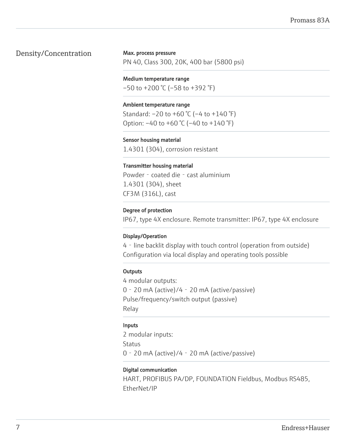# Density/Concentration

#### Max. process pressure

PN 40, Class 300, 20K, 400 bar (5800 psi)

#### Medium temperature range

 $-50$  to  $+200$  °C ( $-58$  to  $+392$  °F)

#### Ambient temperature range

Standard: –20 to +60 °C (–4 to +140 °F) Option:  $-40$  to  $+60$  °C ( $-40$  to  $+140$  °F)

#### Sensor housing material

1.4301 (304), corrosion resistant

#### Transmitter housing material

Powder - coated die - cast aluminium 1.4301 (304), sheet CF3M (316L), cast

#### Degree of protection

IP67, type 4X enclosure. Remote transmitter: IP67, type 4X enclosure

#### Display/Operation

4‐line backlit display with touch control (operation from outside) Configuration via local display and operating tools possible

#### **Outputs**

4 modular outputs: 0‐20 mA (active)/4‐20 mA (active/passive) Pulse/frequency/switch output (passive) Relay

#### Inputs

2 modular inputs: **Status** 0‐20 mA (active)/4‐20 mA (active/passive)

#### Digital communication

HART, PROFIBUS PA/DP, FOUNDATION Fieldbus, Modbus RS485, EtherNet/IP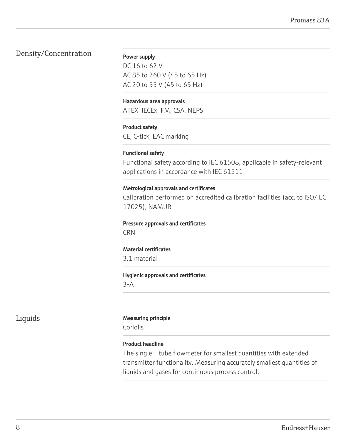# Density/Concentration

#### Power supply

DC 16 to 62 V AC 85 to 260 V (45 to 65 Hz) AC 20 to 55 V (45 to 65 Hz)

#### Hazardous area approvals

ATEX, IECEx, FM, CSA, NEPSI

#### Product safety

CE, C-tick, EAC marking

#### Functional safety

Functional safety according to IEC 61508, applicable in safety-relevant applications in accordance with IEC 61511

#### Metrological approvals and certificates

Calibration performed on accredited calibration facilities (acc. to ISO/IEC 17025), NAMUR

#### Pressure approvals and certificates

CRN

#### Material certificates

3.1 material

#### Hygienic approvals and certificates

3-A

#### Liquids Measuring principle

Coriolis

#### Product headline

The single - tube flowmeter for smallest quantities with extended transmitter functionality. Measuring accurately smallest quantities of liquids and gases for continuous process control.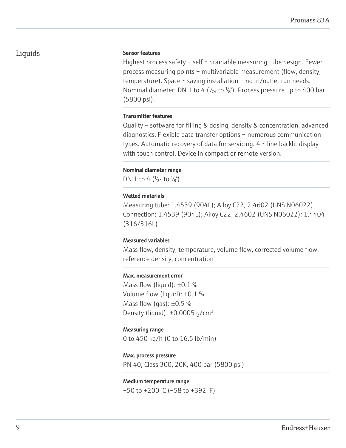# Liquids

#### Sensor features

Highest process safety – self - drainable measuring tube design. Fewer process measuring points – multivariable measurement (flow, density, temperature). Space - saving installation – no in/outlet run needs. Nominal diameter: DN 1 to 4 ( $\frac{1}{24}$  to  $\frac{1}{8}$ ). Process pressure up to 400 bar (5800 psi).

#### Transmitter features

Quality – software for filling & dosing, density & concentration, advanced diagnostics. Flexible data transfer options – numerous communication types. Automatic recovery of data for servicing. 4 - line backlit display with touch control. Device in compact or remote version.

#### Nominal diameter range

DN 1 to 4  $\left(\frac{1}{24} \text{ to } \frac{1}{8}\right)$ 

#### Wetted materials

Measuring tube: 1.4539 (904L); Alloy C22, 2.4602 (UNS N06022) Connection: 1.4539 (904L); Alloy C22, 2.4602 (UNS N06022); 1.4404 (316/316L)

#### Measured variables

Mass flow, density, temperature, volume flow, corrected volume flow, reference density, concentration

#### Max. measurement error

Mass flow (liquid):  $\pm 0.1$  % Volume flow (liquid): ±0.1 % Mass flow (gas):  $\pm 0.5$  % Density (liquid):  $\pm 0.0005$  g/cm<sup>3</sup>

#### Measuring range

0 to 450 kg/h (0 to 16.5 lb/min)

#### Max. process pressure

PN 40, Class 300, 20K, 400 bar (5800 psi)

#### Medium temperature range

 $-50$  to  $+200$  °C ( $-58$  to  $+392$  °F)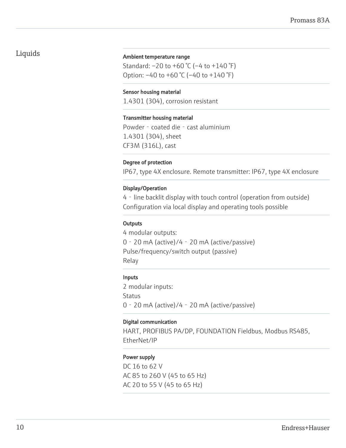# Liquids

#### Ambient temperature range

Standard: –20 to +60 °C (–4 to +140 °F) Option:  $-40$  to  $+60$  °C ( $-40$  to  $+140$  °F)

#### Sensor housing material

1.4301 (304), corrosion resistant

#### Transmitter housing material

Powder - coated die - cast aluminium 1.4301 (304), sheet CF3M (316L), cast

#### Degree of protection

IP67, type 4X enclosure. Remote transmitter: IP67, type 4X enclosure

#### Display/Operation

4‐line backlit display with touch control (operation from outside) Configuration via local display and operating tools possible

#### **Outputs**

4 modular outputs: 0‐20 mA (active)/4‐20 mA (active/passive) Pulse/frequency/switch output (passive) Relay

#### Inputs

2 modular inputs: Status 0‐20 mA (active)/4‐20 mA (active/passive)

#### Digital communication

HART, PROFIBUS PA/DP, FOUNDATION Fieldbus, Modbus RS485, EtherNet/IP

#### Power supply

DC 16 to 62 V AC 85 to 260 V (45 to 65 Hz) AC 20 to 55 V (45 to 65 Hz)